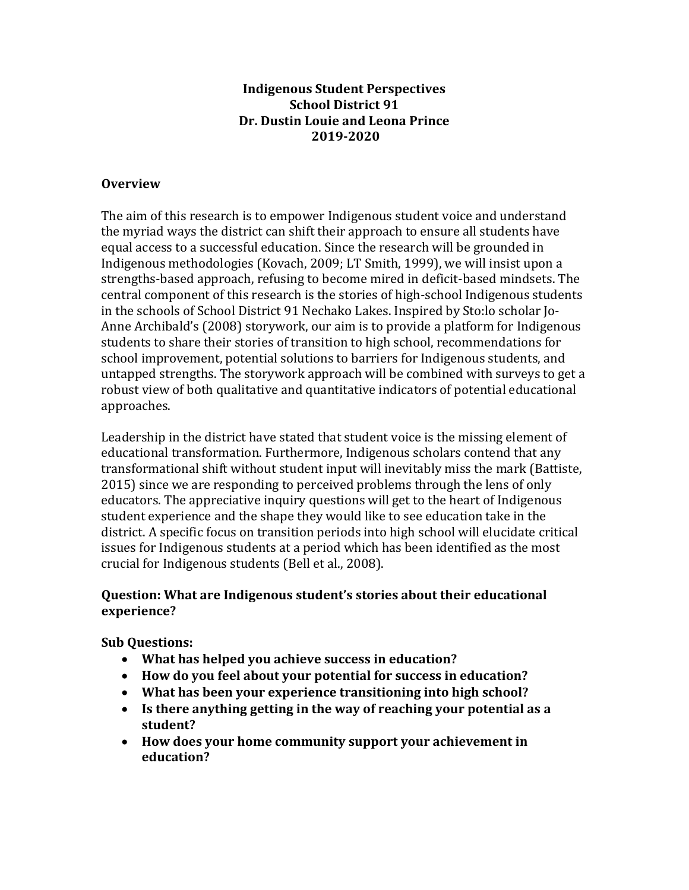#### **Indigenous Student Perspectives School District 91 Dr. Dustin Louie and Leona Prince 2019-2020**

## **Overview**

The aim of this research is to empower Indigenous student voice and understand the myriad ways the district can shift their approach to ensure all students have equal access to a successful education. Since the research will be grounded in Indigenous methodologies (Kovach, 2009; LT Smith, 1999), we will insist upon a strengths-based approach, refusing to become mired in deficit-based mindsets. The central component of this research is the stories of high-school Indigenous students in the schools of School District 91 Nechako Lakes. Inspired by Sto:lo scholar Jo-Anne Archibald's (2008) storywork, our aim is to provide a platform for Indigenous students to share their stories of transition to high school, recommendations for school improvement, potential solutions to barriers for Indigenous students, and untapped strengths. The storywork approach will be combined with surveys to get a robust view of both qualitative and quantitative indicators of potential educational approaches.

Leadership in the district have stated that student voice is the missing element of educational transformation. Furthermore, Indigenous scholars contend that any transformational shift without student input will inevitably miss the mark (Battiste, 2015) since we are responding to perceived problems through the lens of only educators. The appreciative inquiry questions will get to the heart of Indigenous student experience and the shape they would like to see education take in the district. A specific focus on transition periods into high school will elucidate critical issues for Indigenous students at a period which has been identified as the most crucial for Indigenous students (Bell et al., 2008).

### **Question: What are Indigenous student's stories about their educational experience?**

**Sub Questions:**

- **What has helped you achieve success in education?**
- **How do you feel about your potential for success in education?**
- **What has been your experience transitioning into high school?**
- **Is there anything getting in the way of reaching your potential as a student?**
- **How does your home community support your achievement in education?**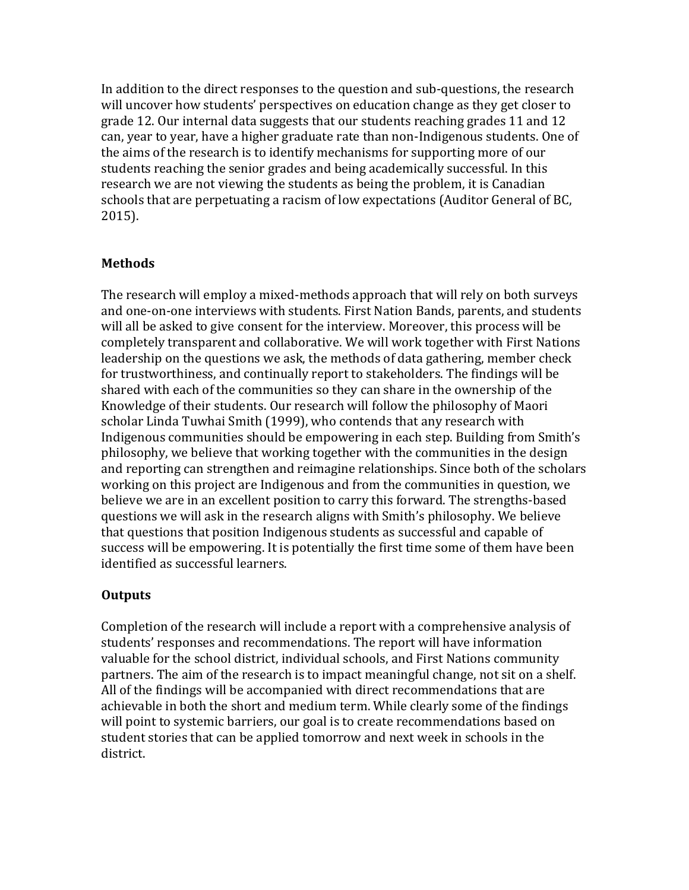In addition to the direct responses to the question and sub-questions, the research will uncover how students' perspectives on education change as they get closer to grade 12. Our internal data suggests that our students reaching grades 11 and 12 can, year to year, have a higher graduate rate than non-Indigenous students. One of the aims of the research is to identify mechanisms for supporting more of our students reaching the senior grades and being academically successful. In this research we are not viewing the students as being the problem, it is Canadian schools that are perpetuating a racism of low expectations (Auditor General of BC, 2015).

### **Methods**

The research will employ a mixed-methods approach that will rely on both surveys and one-on-one interviews with students. First Nation Bands, parents, and students will all be asked to give consent for the interview. Moreover, this process will be completely transparent and collaborative. We will work together with First Nations leadership on the questions we ask, the methods of data gathering, member check for trustworthiness, and continually report to stakeholders. The findings will be shared with each of the communities so they can share in the ownership of the Knowledge of their students. Our research will follow the philosophy of Maori scholar Linda Tuwhai Smith (1999), who contends that any research with Indigenous communities should be empowering in each step. Building from Smith's philosophy, we believe that working together with the communities in the design and reporting can strengthen and reimagine relationships. Since both of the scholars working on this project are Indigenous and from the communities in question, we believe we are in an excellent position to carry this forward. The strengths-based questions we will ask in the research aligns with Smith's philosophy. We believe that questions that position Indigenous students as successful and capable of success will be empowering. It is potentially the first time some of them have been identified as successful learners.

# **Outputs**

Completion of the research will include a report with a comprehensive analysis of students' responses and recommendations. The report will have information valuable for the school district, individual schools, and First Nations community partners. The aim of the research is to impact meaningful change, not sit on a shelf. All of the findings will be accompanied with direct recommendations that are achievable in both the short and medium term. While clearly some of the findings will point to systemic barriers, our goal is to create recommendations based on student stories that can be applied tomorrow and next week in schools in the district.